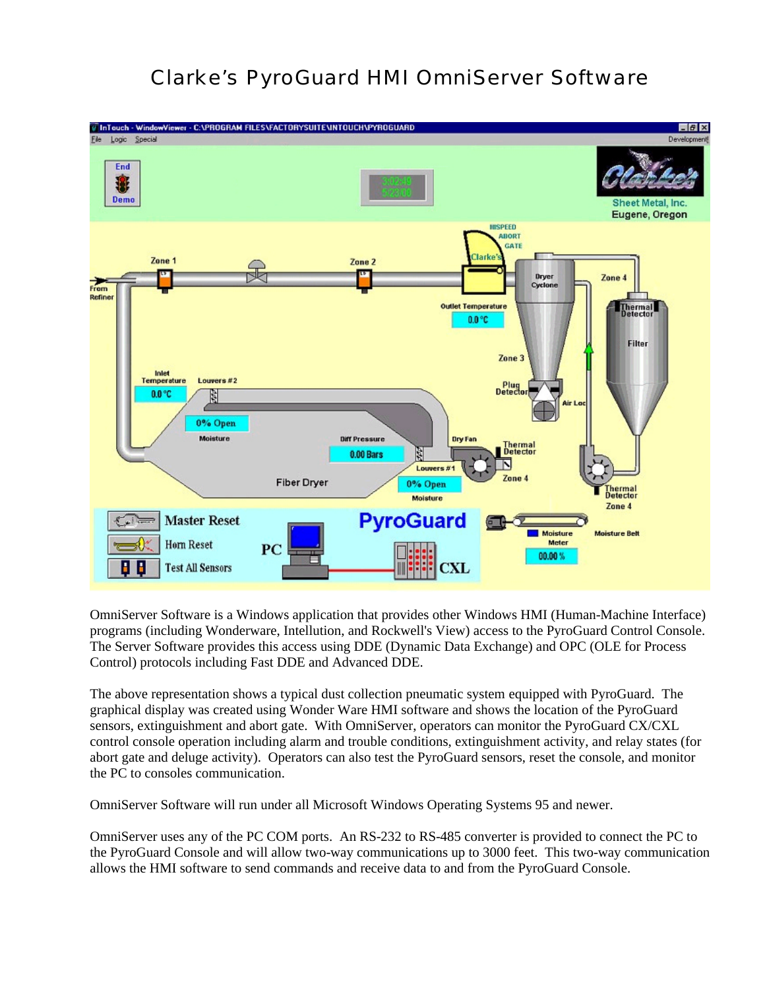## Clarke's PyroGuard HMI OmniServer Software



OmniServer Software is a Windows application that provides other Windows HMI (Human-Machine Interface) programs (including Wonderware, Intellution, and Rockwell's View) access to the PyroGuard Control Console. The Server Software provides this access using DDE (Dynamic Data Exchange) and OPC (OLE for Process Control) protocols including Fast DDE and Advanced DDE.

The above representation shows a typical dust collection pneumatic system equipped with PyroGuard. The graphical display was created using Wonder Ware HMI software and shows the location of the PyroGuard sensors, extinguishment and abort gate. With OmniServer, operators can monitor the PyroGuard CX/CXL control console operation including alarm and trouble conditions, extinguishment activity, and relay states (for abort gate and deluge activity). Operators can also test the PyroGuard sensors, reset the console, and monitor the PC to consoles communication.

OmniServer Software will run under all Microsoft Windows Operating Systems 95 and newer.

OmniServer uses any of the PC COM ports. An RS-232 to RS-485 converter is provided to connect the PC to the PyroGuard Console and will allow two-way communications up to 3000 feet. This two-way communication allows the HMI software to send commands and receive data to and from the PyroGuard Console.